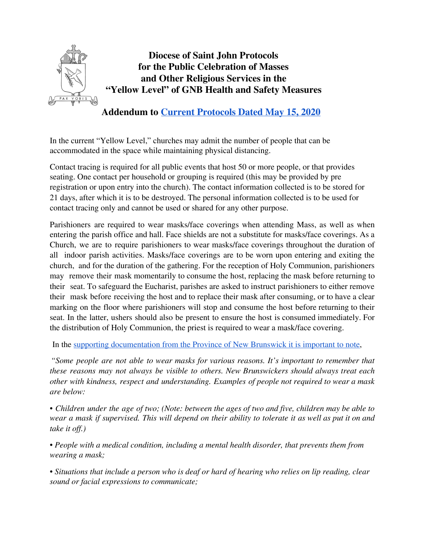

**Diocese of Saint John Protocols for the Public Celebration of Masses and Other Religious Services in the "Yellow Level" of GNB Health and Safety Measures**

**Addendum to Current [Protocols](https://dioceseofsaintjohn.org/documents/2020/5/Operational-Protocols.pdf) Dated May 15, 2020**

In the current "Yellow Level," churches may admit the number of people that can be accommodated in the space while maintaining physical distancing.

Contact tracing is required for all public events that host 50 or more people, or that provides seating. One contact per household or grouping is required (this may be provided by pre registration or upon entry into the church). The contact information collected is to be stored for 21 days, after which it is to be destroyed. The personal information collected is to be used for contact tracing only and cannot be used or shared for any other purpose.

Parishioners are required to wear masks/face coverings when attending Mass, as well as when entering the parish office and hall. Face shields are not a substitute for masks/face coverings. As a Church, we are to require parishioners to wear masks/face coverings throughout the duration of all indoor parish activities. Masks/face coverings are to be worn upon entering and exiting the church, and for the duration of the gathering. For the reception of Holy Communion, parishioners may remove their mask momentarily to consume the host, replacing the mask before returning to their seat. To safeguard the Eucharist, parishes are asked to instruct parishioners to either remove their mask before receiving the host and to replace their mask after consuming, or to have a clear marking on the floor where parishioners will stop and consume the host before returning to their seat. In the latter, ushers should also be present to ensure the host is consumed immediately. For the distribution of Holy Communion, the priest is required to wear a mask/face covering.

In the supporting [documentation](https://www2.gnb.ca/content/dam/gnb/Departments/eco-bce/Promo/covid-19/placesofworship_masks_faq-e.pdf) from the Province of New Brunswick it is important to note,

*"Some people are not able to wear masks for various reasons. It's important to remember that these reasons may not always be visible to others. New Brunswickers should always treat each other with kindness, respect and understanding. Examples of people not required to wear a mask are below:*

• Children under the age of two; (Note: between the ages of two and five, children may be able to wear a mask if supervised. This will depend on their ability to tolerate it as well as put it on and *take it off.*)

*• People with a medical condition, including a mental health disorder, that prevents them from wearing a mask;*

• Situations that include a person who is deaf or hard of hearing who relies on lip reading, clear *sound or facial expressions to communicate;*